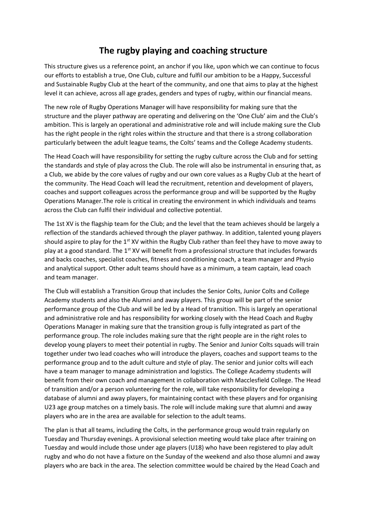## **The rugby playing and coaching structure**

This structure gives us a reference point, an anchor if you like, upon which we can continue to focus our efforts to establish a true, One Club, culture and fulfil our ambition to be a Happy, Successful and Sustainable Rugby Club at the heart of the community, and one that aims to play at the highest level it can achieve, across all age grades, genders and types of rugby, within our financial means.

The new role of Rugby Operations Manager will have responsibility for making sure that the structure and the player pathway are operating and delivering on the 'One Club' aim and the Club's ambition. This is largely an operational and administrative role and will include making sure the Club has the right people in the right roles within the structure and that there is a strong collaboration particularly between the adult league teams, the Colts' teams and the College Academy students.

The Head Coach will have responsibility for setting the rugby culture across the Club and for setting the standards and style of play across the Club. The role will also be instrumental in ensuring that, as a Club, we abide by the core values of rugby and our own core values as a Rugby Club at the heart of the community. The Head Coach will lead the recruitment, retention and development of players, coaches and support colleagues across the performance group and will be supported by the Rugby Operations Manager.The role is critical in creating the environment in which individuals and teams across the Club can fulfil their individual and collective potential.

The 1st XV is the flagship team for the Club; and the level that the team achieves should be largely a reflection of the standards achieved through the player pathway. In addition, talented young players should aspire to play for the  $1<sup>st</sup> XY$  within the Rugby Club rather than feel they have to move away to play at a good standard. The  $1<sup>st</sup> XY$  will benefit from a professional structure that includes forwards and backs coaches, specialist coaches, fitness and conditioning coach, a team manager and Physio and analytical support. Other adult teams should have as a minimum, a team captain, lead coach and team manager.

The Club will establish a Transition Group that includes the Senior Colts, Junior Colts and College Academy students and also the Alumni and away players. This group will be part of the senior performance group of the Club and will be led by a Head of transition. This is largely an operational and administrative role and has responsibility for working closely with the Head Coach and Rugby Operations Manager in making sure that the transition group is fully integrated as part of the performance group. The role includes making sure that the right people are in the right roles to develop young players to meet their potential in rugby. The Senior and Junior Colts squads will train together under two lead coaches who will introduce the players, coaches and support teams to the performance group and to the adult culture and style of play. The senior and junior colts will each have a team manager to manage administration and logistics. The College Academy students will benefit from their own coach and management in collaboration with Macclesfield College. The Head of transition and/or a person volunteering for the role, will take responsibility for developing a database of alumni and away players, for maintaining contact with these players and for organising U23 age group matches on a timely basis. The role will include making sure that alumni and away players who are in the area are available for selection to the adult teams.

The plan is that all teams, including the Colts, in the performance group would train regularly on Tuesday and Thursday evenings. A provisional selection meeting would take place after training on Tuesday and would include those under age players (U18) who have been registered to play adult rugby and who do not have a fixture on the Sunday of the weekend and also those alumni and away players who are back in the area. The selection committee would be chaired by the Head Coach and